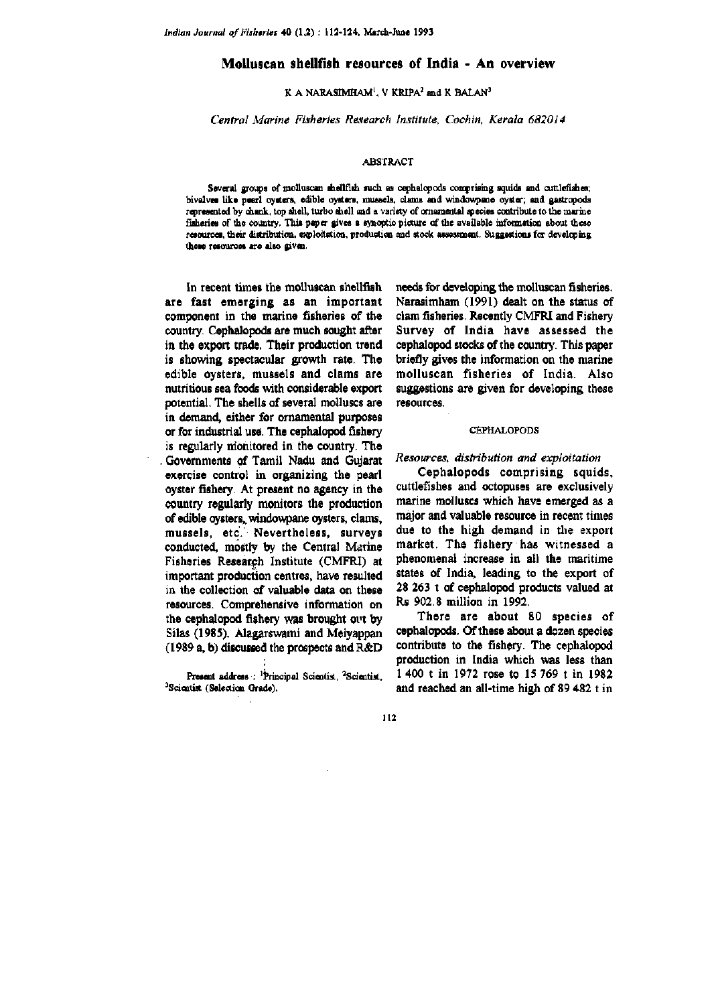# **Molluscan shelltish resources of India** - **An overview**

**K A NARASIMHAM<sup>I</sup>, V KRIPA<sup>2</sup> and K BALAN<sup>3</sup>** 

*Central Marine Fisheries Research Institute, Cochin, Kerala 6820J 4* 

#### **ABSTRACT**

Several groups of molluscan shellfish such as cephalopods comprising squids and cuttlefishes; **bivalves like pearl oysters, edible oysters, mussels, clams and windowpone oyster; and gastropods**  represented by chank, top shell, turbo shell and a variety of ornamental species contribute to the marine fisheries of the country. This paper gives a synoptic picture of the available information about these resources, their distribution, exploitation, production and stock assessment. Suggestions for developing **these resources are also given.** 

In recent times the molluscan shellfish are fast emerging as an important component in the marine fisheries of the country. Cephalopods are much sought after in the export trade. Their production trend is showing spectacular growth rate. The edible oysters, mussels and clams are nutritious sea foods with considerable export potential. The shells of several molluscs are in demand, either for ornamental purposes or for industrial use. The cephalopod fishery is regularly monitored in the country. The Governments of Tamil Nadu and Gujarat exercise control in organizing the pearl oyster fishery. At present no agency in the country regularly monitors the production of edible oysters, windowpane oysters, clams, mussels, etc. Nevertheless, surveys conducted, mostly by the Central Marine Fisheries Research Institute (CMFRI) at important production centres, have resulted in the collection of valuable data on these resources. Comprehensive information on the cephalopod fishery was brought out by Silas (1985). Alagarswami and Meiyappan (1989 a, b) discussed the prospects and R&D

Present address : <sup>1</sup>Principal Scientist, <sup>2</sup>Scientist, **^Scientist (Selection Grade).** 

needs for developing the molluscan fisheries. Narasimham (1991) dealt on the status of clam fisheries. Recently CMFRI and Fishery Survey of India have assessed the cephalopod stocks of the country. This paper briefly gives the information on the marine molluscan fisheries of India. Also suggestions are given for developing these resources.

## **CEPHALOPODS**

# *Resources, distribution and exploitation*

Cephalopods comprising squids, cuttlefishes and octopuses are exclusively marine molluscs which have emerged as a major and valuable resource in recent times due to the high demand in the export market. The fishery has witnessed a phenomenal increase in all the maritime states of India, leading to the export of 28 263 t of cephalopod products valued at Rs 902,8 million in 1992.

There are about 80 species of cephalopods. Of these about a dozen species contribute to the fishery. The cephalopod production in India which was less than 1 400 t in 1972 rose to 15 769 t in 1982 and reached an all-time high of 89 482 t in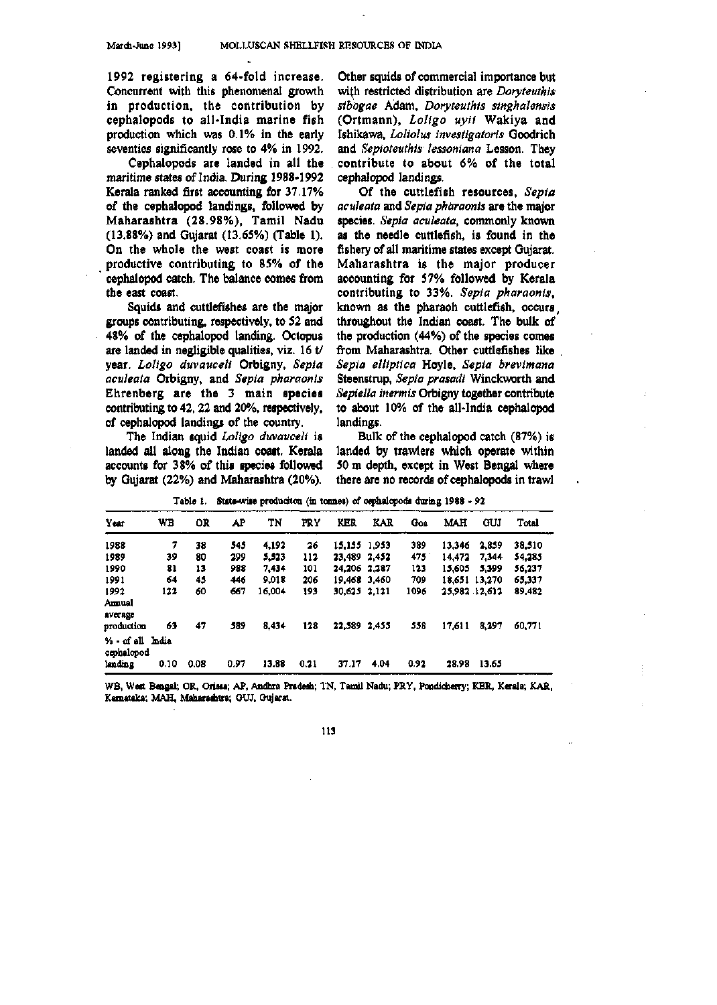1992 registering a 64-fold increase. Concurrent with this phenomenal growth in production, the contribution by cephalopods to all-India marine fish production which was 0.1% in the early seventies significantly rose to 4% in 1992.

Cephalopods are landed in all the maritime states of India. During 1988-1992 Kerala ranked first accounting for 37.17% of the cephalopod landings, followed by Maharashtra (28.98%), Tamil Nadu (13.88%) and Gujarat (13.65%) (Table 1). On the whole the west coast is more productive contributing to 85% of the cephalopod catch. The balance comes from the east coast.

Squids and cuttlefishes are the major groups contributing, respectively, to 52 and 48% of the cephalopod landing. Octopus are landed in negligible qualities, viz. 16 t/ year. *Loligo duvauceli* Orbigny, *Sepia aculeata* Orbigny, and *Sepia pharaonis*  Ehrenberg are the 3 main species contributing to 42,22 and 20%, respectively, of cephalopod landings of the country.

The Indian squid *Loligo duvauceli* is landed all along the Indian coast. Kerala accounts for 38% of this species followed by Gujarat (22%) and Maharashtra (20%).

Other squids of commercial importance but with restricted distribution are *Doryteuthis sibogae* Adam, *Doryteuthis singhalensis*  (Ortmann), *Loligo uyii* Wakiya and Ishikawa, *Loliolus investigatoris* Goodrich and *Sepioteuthis lessoniana* Lesson. They contribute to about 6% of the total cephalopod landings.

Of the cuttlefish resources, *Sepia aculeata* and *Sepia pharaonis* are the major species. *Sepia aculeata,* commonly known as the needle cuttlefish, is found in the fishery of all maritime states except Gujarat. Maharashtra is the major producer accounting for 57% followed by Kerala contributing to 33%, *Sepia pharaonis,*  known as the pharaoh cuttlefish, occurs, throughout the Indian coast. The bulk of the production (44%) of the species comes from Maharashtra. Other cuttlefishes like *Sepia elliptica* Hoyle, *Sepia brevimana*  Steenstrup, *Sepia prasadi* Winckworth and *Sepiella inermis* Orbigny together contribute to about 10% of the all-India cephalopod landings.

Bulk of the cephalopod catch (87%) is landed by trawlers which operate within 50 m depth, except in West Bengal where there are no records of cephalopods in trawl

| Year                                      | WB   | OR   | AP   | TN     | PRY  | KER          | KAR  | Goa           | MAH    | GUJ           | Total  |
|-------------------------------------------|------|------|------|--------|------|--------------|------|---------------|--------|---------------|--------|
| 1988                                      | 7    | 38   | 545  | 4.192  | 26   | 15.155 1.953 |      | 389           | 13.346 | 2.859         | 38,510 |
| 1989                                      | 39   | 80   | 299  | 5,523  | 112  | 23.489 2.452 |      | $475^{\circ}$ | 14.472 | 7.344         | 54,285 |
| 1990                                      | 81   | 13   | 988  | 7.434  | 101  | 24.206 2.287 |      | 123           | 15.605 | 5.399         | 56,237 |
| 1991                                      | 64   | 45   | 446  | 9.018  | 206  | 19,468 3,460 |      | 709           |        | 18.651 13.270 | 65,337 |
| 1992<br>Amual<br>average                  | 122  | 60   | 667  | 16.004 | 193  | 30.625 2.121 |      | 1096          |        | 25.982 12.612 | 89,482 |
| production                                | 63   | 47   | 589  | 8.434  | 128  | 22.589 2.455 |      | 558           | 17,611 | 8,297         | 60,771 |
| % - of all India<br>cephalopod<br>landing | 0.10 | 0.08 | 0.97 | 13.88  | 0.21 | 37.17        | 4.04 | 0.92          | 28.98  | 13.65         |        |

**Table 1, Sute-wise produoiton (in tonnes) of cephalopods during 1988 - 92** 

**WB. West Bengal; OR. Orissa; AP, Andhra Pradesh; TN, Tamil Nadu; PRY, Pondioherry; KER. Kerala; KAR. Kamataka; MAH, Maharaditra; OUJ, Oujarot.**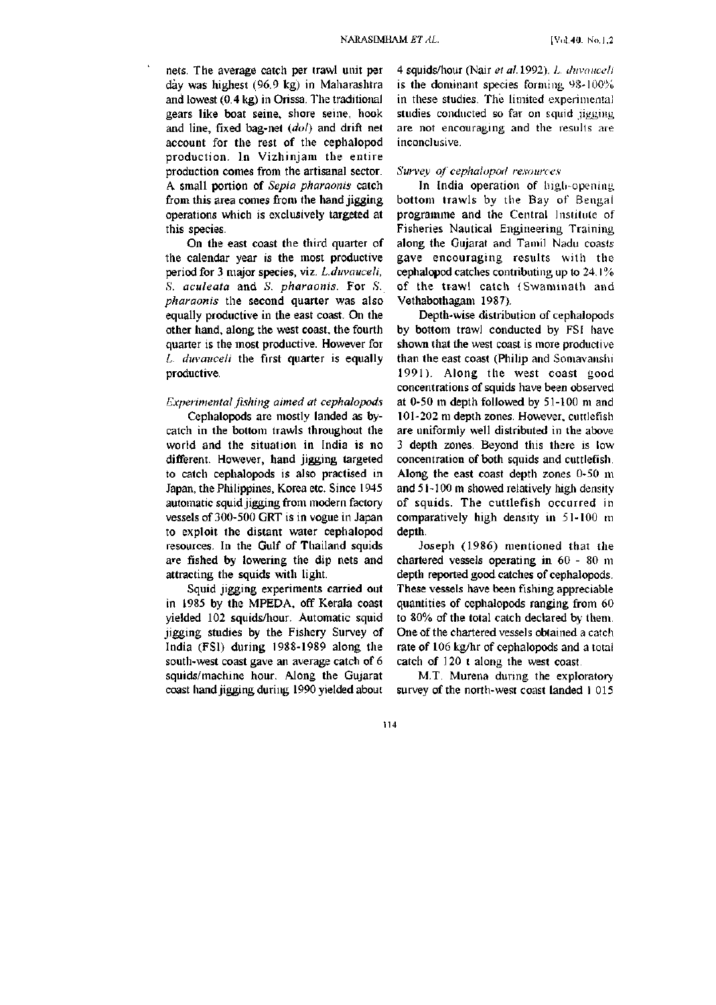nets. The average catch per trawl unit per day was highest (96.9 kg) in Maharashtra and lowest (0.4 kg) in Orissa. The traditional gears like boat seine, shore seine, hook and line, fixed bag-net *(dol)* and drift net account for the rest of the cephalopod production. In Vizhinjam the entire production comes from the artisanal sector. A small portion of *Sepia pharaonis* catch from this area comes from the hand jigging operations which is exclusively targeted at this species.

On the east coast the third quarter of the calendar year is the most productive period for 3 major species, viz. *L.duvauceli, S. aculeata* and *S. pharaonis*. For *S. pharaonis* the second quarter was also equally productive in the east coast. On the other hand, along the west coast, the fourth quarter is the most productive. However for *L. duvauceli* the first quarter is equally productive.

## *Experimental fishing aimed at cephalopods*

Cephalopods are mostly landed as bycatch in the bottom trawls throughout the world and the situation in India is no different. However, hand jigging targeted to catch cephalopods is also practised in Japan, the Pliilippines, Korea etc. Since 1945 automatic squid jigging from modern factory vessels of 300-500 GRT is in vogue in Japan to exploit the distant water cephalopod resources. In the Gulf of Thailand squids are fished by lowering the dip nets and attracting the squids with light.

Squid jigging experiments carried out in 1985 by the MPEDA, off Kerala coast yielded 102 squids/hour. Automatic squid jigging studies by the Fishery Survey of India (FSI) during 1988-1989 along the south-west coast gave an average catch of 6 squids/machine hour. Along the Gujarat coast hand jigging during 1990 yielded about

4 squids/hour (Nair *et al.* 1992). *L. duvaiiccli*  is the dominant species forming 98-100% in these studies. The limited experimental studies conducted so far on squid jigging are not encouraging and the results are inconclusive.

#### *Survey of cephalopod resources*

In India operation of high-opening bottom trawls by the Bay of Bengal programme and the Central Institute of Fisheries Nautical Engineering Training along the Gujarat and Tamil Nadu coasts gave encouraging results with the cephalopod catches contributing up to 24.1% of the trawl catch (Swaminath and Vethabothagam 1987).

Depth-wise distribution of cephalopods by bottom trawl conducted by FSI have shown that the west coast is more productive than the east coast (Philip and Somavanshi 1991). Along the west coast good concentrations of squids have been observed at 0-50 m depth followed by 51-100 m and 101-202 m depth zones. However, cuttlefish are uniformly well distributed in the above 3 depth zones. Beyond this there is low concentration of both squids and cuttlefish. Along the east coast depth zones 0-50 m and 51-100 m showed relatively high density of squids. The cuttlefish occurred in comparatively high density in 51-100 m depth.

Joseph (1986) mentioned that the chartered vessels operating in 60 - 80 m depth reported good catches of cephalopods. These vessels have been fishing appreciable quantities of cephalopods ranging from 60 to 80% of the total catch declared by them. One of the chartered vessels obtained a catch rate of 106 kg/hr of cephalopods and a total catch of 120 t along the west coast.

M.T. Murena during the exploratory survey of the north-west coast landed 1 015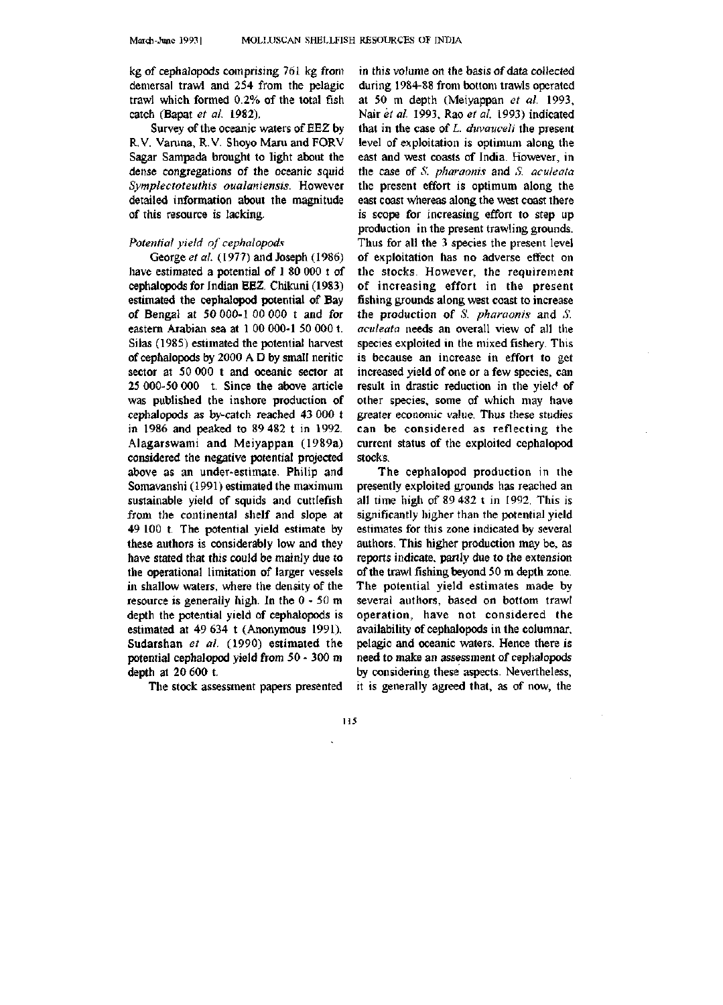kg of cephalopods comprising 761 kg from demersal trawl and 254 from the pelagic trawl which formed 0.2% of the total fish catch (Bapat *et al.* 1982).

Survey of the oceanic waters of EEZ by R.V. Varuna, R.V. Shoyo Maru and FORV Sagar Sampada brought to light about the dense congregations of the oceanic squid *Symplectoteuthis oualaniensis.* However detailed information about the magnitude of this resource is lacking.

## *Potential yield of cephalopods*

George *et al.* (1977) and Joseph (1986) have estimated a potential of 1 80 000 t of cephalopods for Indian EEZ. Chikuni (1983). estimated the cephalopod potential of Bay of Bengal at 50 000-1 00 000 t and for eastern Arabian sea at I 00 000-1 50 000 t. Silas (1985) estimated the potential harvest of cephalopods by 2000 A D by small neritic sector at 50 000 t and oceanic sector at 25 000-50 000 t. Since the above article was published the inshore production of cephalopods as by-catch reached 43 000 t in 1986 and peaked to 89 482 t in 1992. Alagarswami and Meiyappan (1989a) considered the negative potential projected above as an under-estimate. Philip and Somavanshi (1991) estimated the maximum sustainable yield of squids and cuttlefish from the continental shelf and slope at 49 100 t. The potential yield estimate by these authors is considerably low and they have stated that this could be mainly due to the operational limitation of larger vessels in shallow waters, where the density of the resource is generally high. In the 0 - 50 m depth the potential yield of cephalopods is estimated at 49 634 t (Anonymous 1991), Sudarshan *et al.* (1990) estimated the potential cephalopod yield from 50 - 300 m depth at 20 600 t.

The stock assessment papers presented

in this volume on the basis of data collected during 1984-88 from bottom trawls operated at 50 m depth (Meiyappan *et al.* 1993, Nair *et al.* 1993, Rao *et al.* 1993) indicated that in the case of *L. duvauceli* the present level of exploitation is optimum along the east and west coasts of India. However, in the case of *S. pharaonis* and *S. aculeata*  the present effort is optimum along the east coast whereas along the west coast there is scope for increasing effort to step up production in the present trawling grounds. Thus for all the 3 species the present level of exploitation has no adverse effect on the stocks. However, the requirement of increasing effort in the present fishing grounds along west coast to increase the production of *S. pharaonis* and *S. aculeata* needs an overall view of all the species exploited in the mixed fishery. This is because an increase in effort to get increased yield of one or a few species, can result in drastic reduction in the yield of other species, some of which may have greater economic value. Thus these studies can be considered as reflecting the current status of the exploited cephalopod stocks.

The cephalopod production in the presently exploited grounds has reached an all time high of 89 482 t in 1992. This is significantly higher than the potential yield estimates for this zone indicated by several authors. This higher production may be, as reports indicate, partly due to the extension of the trawl fishing beyond 50 m depth zone. The potential yield estimates made by several authors, based on bottom trawl operation, have not considered the availability of cephalopods in the columnar, pelagic and oceanic waters. Hence there is need to make an assessment of cephalopods by considering these aspects. Nevertheless, it is generally agreed that, as of now, the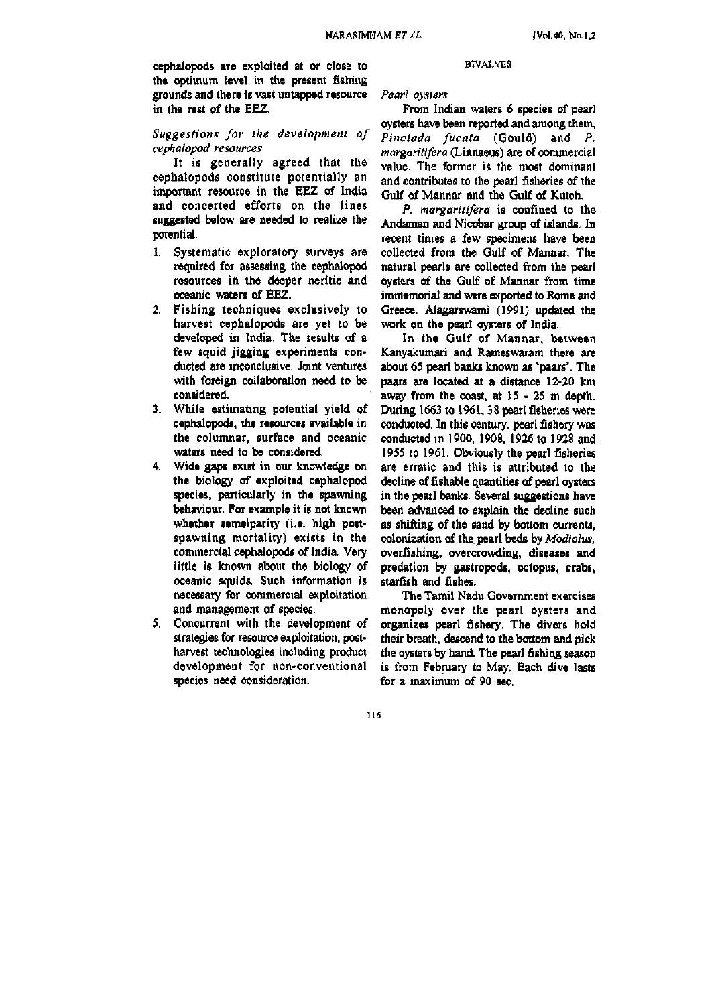cephalopods are exploited at or close to the optimum level in the present fishing grounds and there is vast untapped resource in the rest of the EEZ.

# *Suggestions for the development of cephalopod resources*

It is generally agreed that the cephalopods constitute potentially an important resource in the EEZ of India and concerted efforts on the lines suggested below are needed to realize the potential.

- 1. Systematic exploratory surveys are required for assessing the cephalopod resources in the deeper neritic and oceanic waters of EEZ.
- 2. Fishing techniques exclusively to harvest cephalopods are yet to be developed in India. The results of a few squid jigging experiments conducted are inconclusive. Joint ventures with foreign collaboration need to be considered.
- 3. While estimating potential yield of cephalopods, the resources available in the columnar, surface and oceanic waters need to be considered.
- 4. Wide gaps exist in our knowledge on the biology of exploited cephalopod species, particularly in the spawning behaviour. For example it is not known whether semelparity (i.e. high postspawning mortality) exists in the commercial cephalopods of India. Very little is known about the biology of oceanic squids. Such information is necessary for commercial exploitation and management of species.
- 5. Concurrent with the development of strategies for resource exploitation, postharvest technologies including product development for non-conventional species need consideration.

#### BIVAl-VES

*Pearl oysters* 

From Indian waters 6 species of pearl oysters have been reported and among them, *Pinctada fucata* (Gould) and *P. margaritifera* (Lirmaeus) are of commercial value. The former is the most dominant and contributes to the pearl fisheries of the Gulf of Mannar and the Gulf of Kutch.

*P. margaritifera* is confined to the Andaman and Nicobar group of islands. In recent times a few specimens have been collected from the Gulf of Mannar. The natural pearls are collected from the pearl oysters of the Gulf of Mannar from time immemorial and were exported to Rome and Greece. Alagarswami (1991) updated the work on the pearl oysters of India.

In the Gulf of Mannar, between Kanyakumari and Rameswaram there are about 65 pearl banks known as 'paars'. The paars are located at a distance 12-20 km away from the coast, at 15 - 25 m depth. During 1663 to 1961, 38 pearl fisheries were conducted. In this century, pearl fishery was conducted in 1900, 1908, 1926 to 1928 and 1955 to 1961. Obviously the pearl fisheries are erratic and this is attributed to the decline of fishable quantities of pearl oysters in the pearl banks. Several suggestions have been advanced to explain the decline such as shifting of the sand by bottom currents, colonization of the pearl beds by *Modiolus,*  overfishing, overcrowding, diseases and predation by gastropods, octopus, crabs, starfish and fishes.

The Tamil Nadu Government exercises monopoly over the pearl oysters and organizes pearl fishery. The divers hold their breath, descend to the bottom and pick the oysters by hand. The pearl fishing season is from February to May. Each dive lasts for a maximum of 90 sec.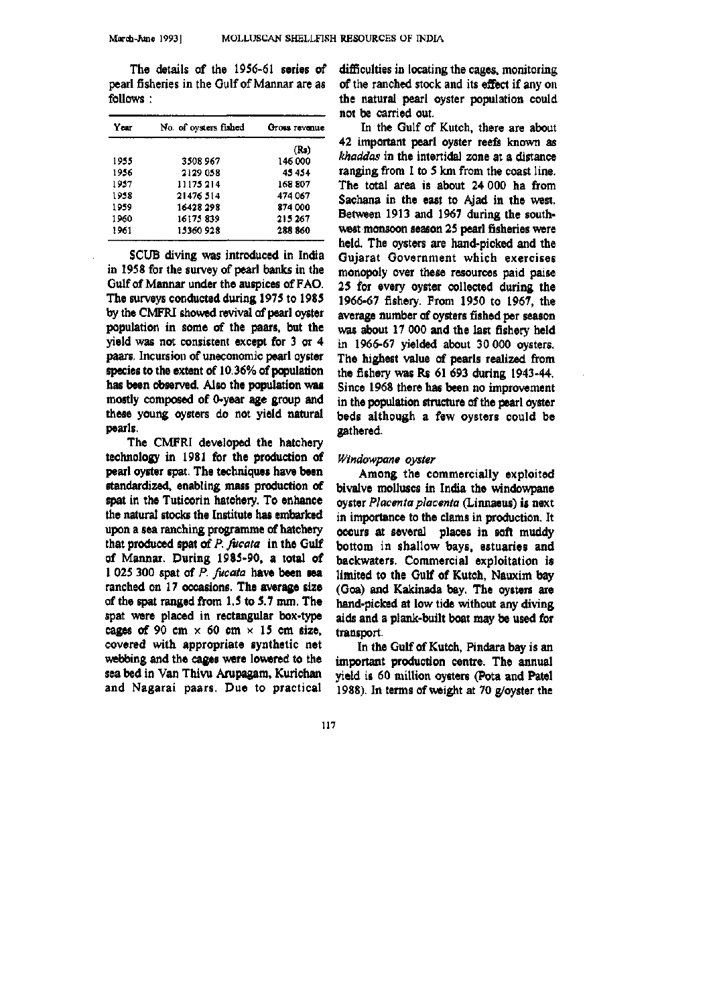**The details of the 1956-61 series of pearl fisheries in the Gulf of Mannar are as follows :** 

| Year | No. of oysters fished | Gross revenue |  |  |
|------|-----------------------|---------------|--|--|
|      |                       | (Rs)          |  |  |
| 1955 | 3508 967              | 146 000       |  |  |
| 1956 | 2129 058              | 45454         |  |  |
| 1957 | 11175214              | 168 807       |  |  |
| 1958 | 21476 514             | 474 067       |  |  |
| 1959 | 16428 298             | 874 000       |  |  |
| 1960 | 16175839              | 215 267       |  |  |
| 1961 | 15360 928             | 288 860       |  |  |

**SCU6 diving was introduced in India in 1958 for the survey of pearl banks in the Gulf of Mannar under the auspices of FAO. The surveys conducted during 1975 to 1985 by the CMFRI showed revival of pearl oyster population in some of the paars, but the yield was not consistent except for 3 or 4 paars. Incursion of uneconomic pearl oyster species to the extent of 10.36% of peculation has been observed. Also the population was mostly composed of 0-year age group and these young oysters do not yield natural pearls.** 

**The CMFRI developed the hatchery technology in 1981 for the production of pearl oyster spat. The techniques have been standardized, enabling mass production of spat in the Tuticorin hatchery. To enhance the natural stocks the Institute has embarked upon a sea ranching programme of hatchery that produced spat of** *P. fucata* **in the Gulf of Mannar. During 1985-90, a total of 1 025 300 spat of** *P. fucata* **have been sea ranched on 17 occasions. The average size of the spat ranged from 1.5 to 5.7 mm. The spat were placed in rectangular box-type**  cages of 90 cm  $\times$  60 cm  $\times$  15 cm size, **covered with appropriate synthetic net webbing and the cages were lowered to the sea bed in Van Thivu Arupagam, Kurichan and Nagarai paars. Due to practical** 

**difficulties in locating the cages, monitoring of the ranched stock and its effect if any on the natural pearl oyster population could not be carried out.** 

**In the Gulf of Kutch, there are about 42 important pearl oyster reefs known as**  *khaddas* **in the intertidal zone at a distance ranging from 1 to 5 km from the coast line. The total area is about 24 000 ha from Sachana in the east to Ajad in the west. Between 1913 and 1967 during the southwest monsoon season 25 pearl fisheries were held. The oysters are hand-picked and the Gujarat Government which exercises monopoly over these resources paid paise 25 for every oyster collected during the 1966-67 fishery. From 1950 to 1967, the average number of oysters fished per season was about 17 000 and the last fishery held in 1966-67 yielded about 30 000 oysters. The highest value of pearls realized from the fishery was Rs 61 693 during 1943-44. Since 1968 there has been no improvement in the population structure of the pearl oyster beds although a few oysters could be gathered.** 

#### *Windowpane oyster*

**Among the commercially exploited bivalve molluscs in India the windowpane oyster** *Placenta placenta* **(Linnaeus) is next in importance to the clams in production. It occurs at several places in soft muddy bottom in shallow bays, estuaries and backwaters. Commercial exploitation is limited to the Gulf of Kutch, Nauxim bay (Goa) and Kakinada bay. The oysters are hand-picked at low tide without any diving aids and a plank-built boat may be used for transport.** 

**In the Gulf of Kutch, Pindara bay is an important production centre. The annual yield is 60 million oysters (Pota and Patel 1988). In terms of weight at 70 g/oyster the**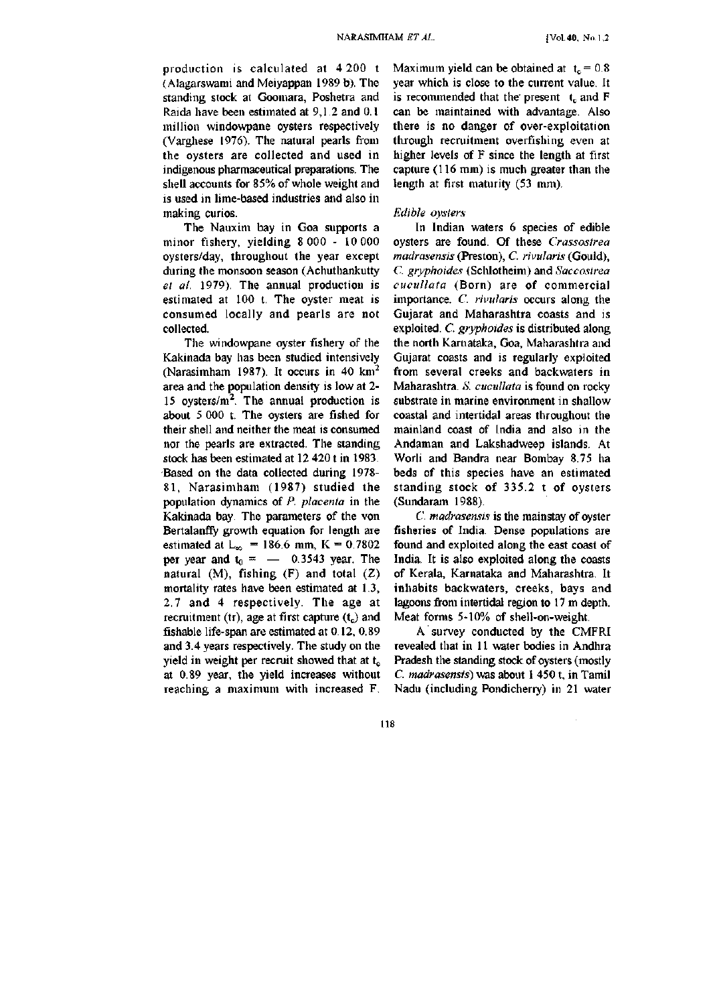production is calculated at 4 200 t (Alagarswami and Meiyappan 1989 b). The standing stock at Goomara, Poshetra and Raida have been estimated at 9,1.2 and 0.1 million windowpane oysters respectively (Vargliese 1976). The natural pearls from the oysters are collected and used in indigenous pharmaceutical preparations. The shell accounts for 85% of whole weight and is used in lime-based industries and also in making curios.

The Nauxim bay in Goa supports a minor fishery, yielding 8 000 - 10 000 oysters/day, throughout the year except during the monsoon season (Achuthankutty *et al.* 1979). The annual production is estimated at 100 t. The oyster meat is consumed locally and pearls are not collected.

The windowpane oyster fishery of the Kakinada bay has been studied intensively (Narasimham 1987). It occurs in 40  $km^2$ area and the population density is low at 2- 15 oysters/ $m^2$ . The annual production is about 5 000 t. The oysters are fished for their shell and neither the meat is consumed nor the pearls are extracted. The standing stock has been estimated at 12 420 t in 1983. Based on the data collected during 1978- 81, Narasimham (1987) studied the population dynamics of *P. placenta* in the Kakinada bay. The parameters of the von Bertalanffy growth equation for length are estimated at  $L_{\infty}$  = 186.6 mm, K = 0.7802 per year and  $t_0 = -0.3543$  year. The natural  $(M)$ , fishing  $(F)$  and total  $(Z)$ mortality rates have been estimated at 1.3, 2.7 and 4 respectively. The age at recruitment (tr), age at first capture  $(t_c)$  and fishable life-span are estimated at 0.12, 0.89 and 3.4 years respectively. The study on the yield in weight per recruit showed that at  $t_c$ at 0.89 year, the yield increases without reaching a maximum with increased F. Maximum yield can be obtained at  $t<sub>c</sub> = 0.8$ year which is close to the current value. It is recommended that the present  $t_c$  and F can be maintained with advantage. Also there is no danger of over-exploitation through recruitment overfishing even at higher levels of F since the length at first capture (116 mm) is much greater than the length at first maturity (53 mm).

#### *Edible oysters*

In Indian waters 6 species of edible oysters are found. Of these *Crassostrea madrasensis* (Preston), C. *rivularis* (Gould), *C. gryphoides* (Schlotheim) and *Saccoslrea cucullata* (Born) are of commercial importance. *C. rivularis* occurs along the Gujarat and Maharashtra coasts and is exploited. C. *gryphoides* is distributed along the north Karnataka, Goa, Maharashtra and Gujarat coasts and is regularly exploited from several creeks and backwaters in Maharashtra. S. cucullata is found on rocky. substrate in marine environment in shallow coastal and intertidal areas throughout the mainland coast of India and also in the Andaman and Lakshadweep islands. At Worli and Bandra near Bombay 8.75 ha beds of this species have an estimated standing stock of 335.2 t of oysters (Sundaram 1988).

*C. madrasensis* is the mainstay of oyster fisheries of India. Dense populations are found and exploited along the east coast of India. It is also exploited along the coasts of Kerala, Karnataka and Maharashtra. It inhabits backwaters, creeks, bays and lagoons from intertidal region to 17 m depth. Meat forms 5-10% of shell-on-weight.

A survey conducted by the CMFRI revealed that in 11 water bodies in Andhra Pradesh the standing stock of oysters (mostly *C. madrasensis*) was about 1 450 t, in Tamil Nadu (including Pondicherry) in 21 water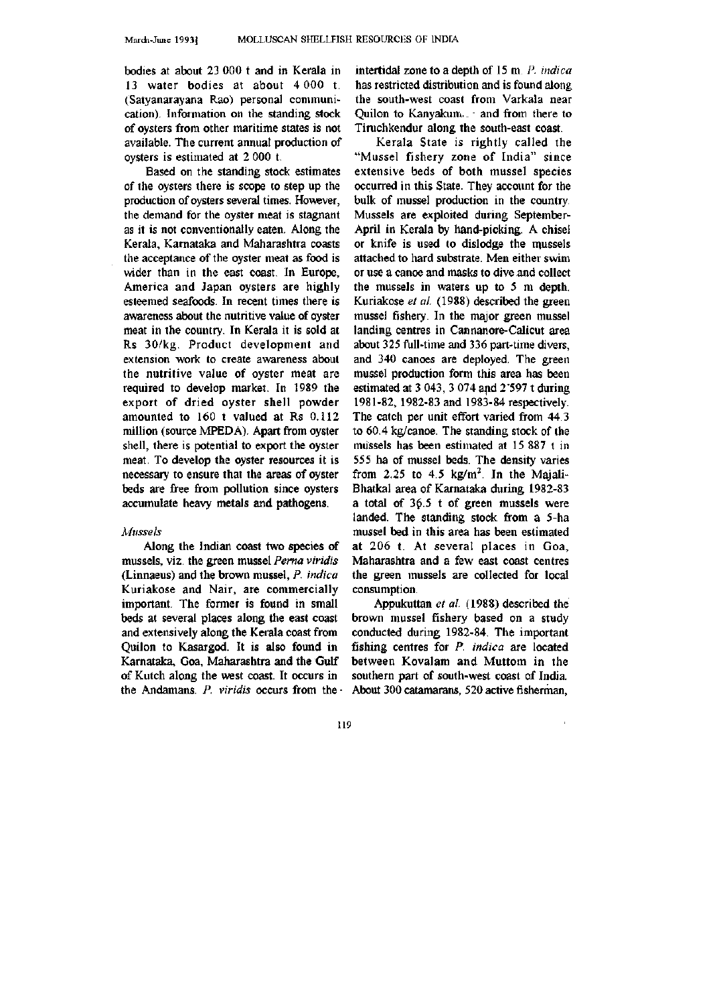bodies at about 23 000 t and in Kerala in 13 water bodies at about 4 000 t. (Satyanarayana Rao) personal communication). Information on the standing stock of oysters from other maritime states is not available. The current annual production of oysters is estimated at 2 000 t.

Based on the standing stock estimates of the oysters there is scope to step up the production of oysters several times. However, the demand for the oyster meat is stagnant as it is not conventionally eaten. Along the Kerala, Karnataka and Maharashtra coasts the acceptance of the oyster meat as food is wider than in the east coast. In Europe, America and Japan oysters are highly esteemed seafoods. In recent times there is awareness about the nutritive value of oyster meat in the country. In Kerala it is sold at Rs 30/kg. Product development and extension work to create awareness about the nutritive value of oyster meat are required to develop market. In 1989 the export of dried oyster shell powder amounted to 160 t valued at Rs 0.112 million (source MPEDA). Apart from oyster shell, there is potential to export the oyster meat. To develop the oyster resources it is necessary to ensure that the areas of oyster beds are free from pollution since oysters accumulate heavy metals and pathogens.

#### *Mussels*

Along the Indian coast two species of mussels, viz. the green mussel *Pema viridis*  (Linnaeus) and the brown mussel, *P. indica*  Kuriakose and Nair, are commercially important. The former is found in small beds at several places along the east coast and extensively along the Kerala coast from Quilon to Kasargod. It is also found in Karnataka, Goa, Maharashtra and the Gulf of Kutch along the west coast. It occurs in the Andamans. *P. viridis* occurs from the • intertidal zone to a depth of 15 m. *P. indica*  has restricted distribution and is found along the south-west coast from Varkala near Quilon to Kanyakum,. - and from there to Tiruchkendur along the south-east coast.

Kerala State is rightly called the "Mussel fishery zone of India" since extensive beds of both mussel species occurred in this State. They account for the bulk of mussel production in the country. Mussels are exploited during September-April in Kerala by hand-picking. A chisel or knife is used to dislodge the mussels attached to hard substrate. Men either swim or use a canoe and masks to dive and collect the mussels in waters up to 5 m depth. Kuriakose *et al.* (1988) described the green mussel fishery. In the major green mussel landing centres in Cannanore-Calicut area about 325 full-time and 336 part-time divers, and 340 canoes are deployed. The green mussel production form this area has been estimated at 3 043, 3 074 and 2'597 t during 1981-82, 1982-83 and 1983-84 respectively. The catch per unit effort varied from 44.3 to 60.4 kg/canoe. The standing stock of the mussels has been estimated at 15 887 t in 555 ha of mussel beds, The density varies from 2.25 to 4.5 kg/m<sup>2</sup>. In the Majali-Bhatkal area of Karnataka during 1982-83 a total of 36.5 t of green mussels were landed. The standing stock from a 5-ha mussel bed in this area has been estimated at 206 t. At several places in Goa, Maharashtra and a few east coast centres the green mussels are collected for local consumption.

Appukuttan *et al.* (1988) described the brown mussel fishery based on a study conducted during 1982-84. The important fishing centres for *P. indica* are located between Kovalam and Muttom in the southern part of south-west coast of India. About 300 catamarans, 520 active fisherman.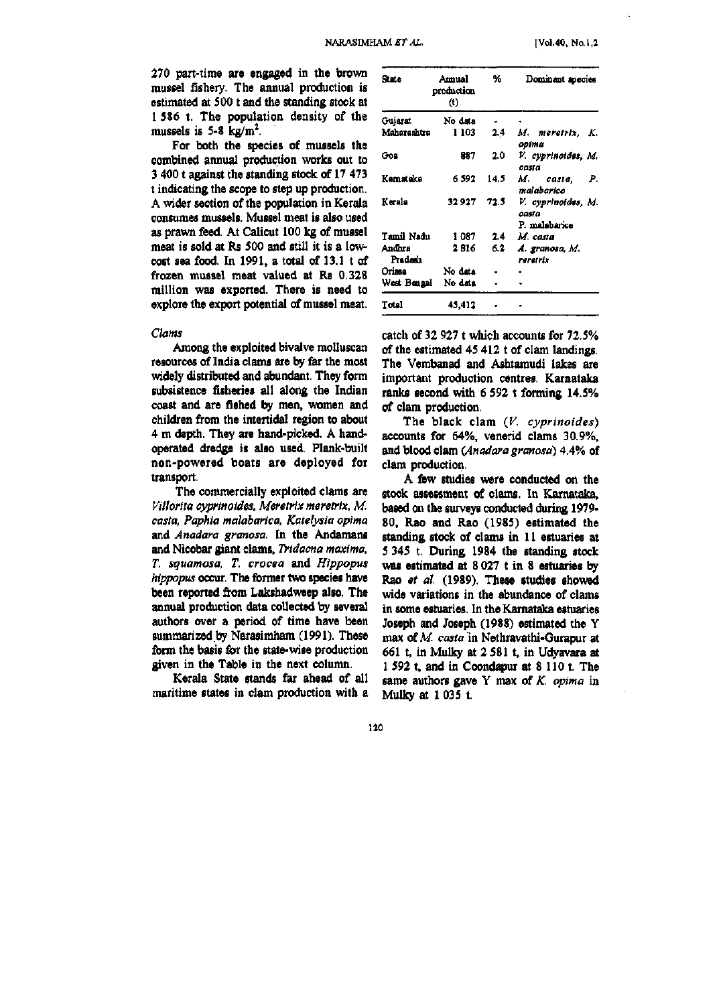**270 part-time are engaged in the brown mussel fishery. The annual production is estimated at 500 t and the standing stock at 1 586 t. The population density of the**  mussels is  $5-8$  kg/m<sup>2</sup>.

**For both the species of mussels the combined annual production works out to 3 400 t against the standing stock of 17 473 t indicating the scope to step up production. A wider section of the population in Kerala consumes mussels. Mussel meat is also used as prawn feed. At Calicut 100 kg of mussel meat is sold at Rs 500 and still it is a lowcost sea food. In 1991, a total of 13.1 t of frozen mussel meat valued at Rs 0.328 million was exported. There is need to explore the export potential of mussel meat.** 

## *Clams*

**Among the exploited bivalve molluscan resources of India clams are by far the most widely distributed and abundant. They form subsistence fisheries all along the Indian coast and are fished by men, women and children from the intertidal region to about 4 m depth. They are hand-picked. A handoperated dredge is also used. Plank-built non-powered boats are deployed for transport.** 

**The commercially exploited clams are**  *Viilorita cyprinoides, Meretrix meretrix, M. casta, Paphia malabarica, Katelysia opima*  **and** *Anadara granosa.* **In the Andamans and Nicobar giant clams,** *Tridacna maxima, T. squamosa, T. crocea* **and** *Hippopus hippopus* **occur. The former two species have been reported from Lakshadweep also. The annual production data collected by several authors over a period of time have been summarized by Narasimham (1991). These form the basis for the state-wise production given in the Table in the next column.** 

**Kerala State stands far ahead of all maritime states in clam production with a** 

| State             | Amual<br>production<br>$(t)$ | %    | Dominant species                             |
|-------------------|------------------------------|------|----------------------------------------------|
| Gujarat           | No data                      |      |                                              |
| Maharashtra       | 1 103                        | 2.4  | M. meretrix, K.<br>opima                     |
| Goa               | 887                          | 2.0  | V. cyprinoides, M.<br>casta                  |
| Kamataka          | 6 592                        | 14.5 | M. casta,<br>Р.<br>malabarica                |
| Karala            | 32 927                       | 72.5 | V. cyprinoides, M.<br>casta<br>P. malabarica |
| Tamil Nadu        | 1087                         | 2.4  | M. casta                                     |
| Andhra<br>Pradesh | 2816                         | 6.2  | A. granosa, M.<br>reretrix                   |
| Orissa            | No data                      |      |                                              |
| West Bengal       | No data                      |      |                                              |
| Total             | 45.412                       |      |                                              |

**catch of 32 927 t which accounts for 72.5% of the estimated 45 412 t of clam landings. The Vembanad and Ashtamudi lakes are important production centres. Karnataka ranks second with 6 592 t forming 14.5% of clam production.** 

**The black clam** *(V. cyprinoides)*  **accounts for 64%, venerid clams 30.9%, and blood clam** *(Anadara granosa)* **4.4% of clam production.** 

**A few studies were conducted on the stock assessment of clams. In Kamataka, based on the surveys conducted during 1979- 80, Rao and Rao (1985) estimated the standing stock of clams in 11 estuaries at 5 345 t. During 1984 the standing stock was estimated at 8 027 t in 8 estuaries by Rao** *et al.* **(1989), These studies showed wide variations in the abundance of clams in some estuaries. In the Kamataka estuaries Joseph and Joseph (1988) estimated the Y max of A/,** *casta* **in Nethravathi-Gurapur at**  661 t, in Mulky at 2 581 t, in Udyavara at **1 592 t, and in Coondapur at 8 110 t. The same authors gave Y max of** *K. opima* **in Mulky at 1 035 t.**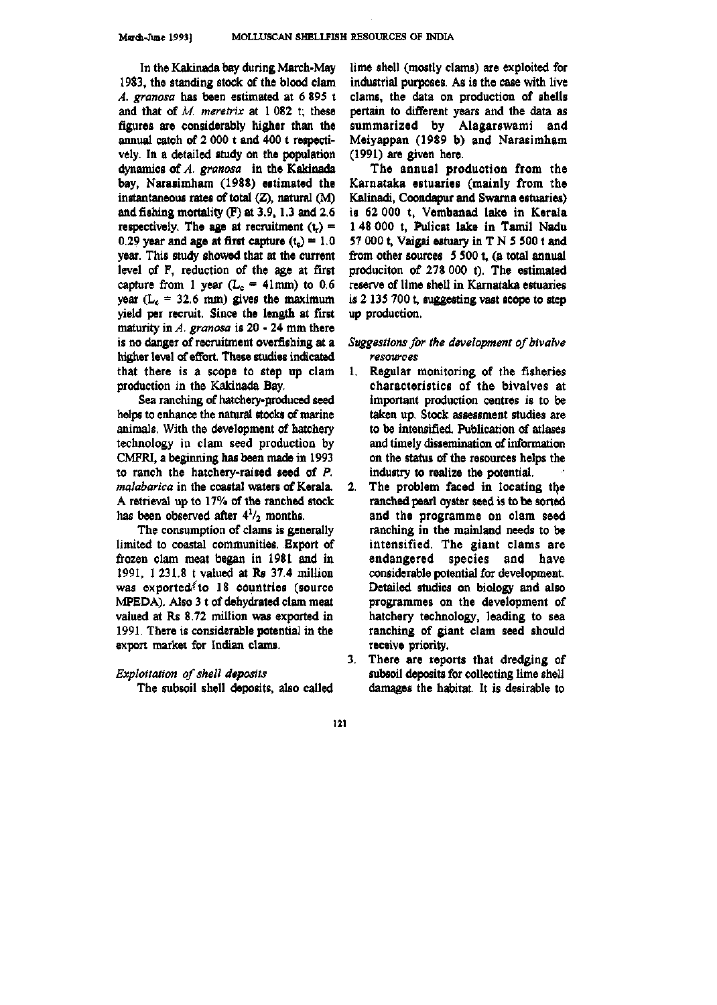In the Kakinada bay during March-Mav 1983, the standing stock of the blood clam *A. granosa* has been estimated at 6 895 t and that of *M. meretrix* at 1 082 t; these figures are considerably higher than the annual catch of 2 000 t and 400 t respectively. In a detailed study on the population dynamics of *A. granosa* in the Kakinada bay, Narasimham (1988) estimated the instantaneous rates of total  $(Z)$ , natural  $(M)$ and fishing mortality (F) at 3.9,1.3 and 2.6 respectively. The age at recruitment  $(t_r)$  = 0.29 year and age at first capture  $(t<sub>o</sub>) = 1.0$ year. This study showed that at the current level of F, reduction of the age at first capture from 1 year  $(L_c = 41$ mm) to 0.6 year ( $L_c = 32.6$  mm) gives the maximum yield per recruit. Since the length at first maturity in *A. granosa* is 20 - 24 mm there is no danger of recruitment overfishing at a higher level of effort. These studies indicated that there is a scope to step up clam production in the Kakinada Bay.

Sea ranching of hatchery-produced seed helps to enhance the natural stocks of marine animals. With the development of hatchery technology in clam seed production by CMFRI, a beginning has been made in 1993 to ranch the hatchery-raised seed of *P. malabarica* in the coastal waters of Kerala. A retrieval up to 17% of the ranched stock has been observed after  $4\frac{1}{2}$  months.

The consumption of clams is generally limited to coastal communities. Export of frozen clam meat began in 1981 and in 1991, 1 231.8 t valued at Rs 37.4 million was exported to  $18$  countries (source MPEDA). Also 3 t of dehydrated clam meat valued at Rs 8.72 million was exported in 1991. There is considerable potential in the export market for Indian clams.

# *Exploitation of shell deposits*

The subsoil shell deposits, also called

lime shell (mostly clams) are exploited for industrial purposes. As is the case with live clams, the data on production of shells pertain to different years and the data as summarized by Alagarswami and Meiyappan (1989 b) and Narasimham (1991) are given here.

The annual production from the Karnataka estuaries (mainly from the Kalinadi, Coondapur and Swama estuaries) is 62 000 t, Vembanad lake in Kerala 1 48 000 t, Pulicat lake in Tamil Nadu 57 000 t, Vaigai estuary in  $T N 5 500$  t and from other sources  $5500$  t, (a total annual produciton of 278 000 t). The estimated reserve of lime shell in Karnataka estuaries is 2 135 700 t, suggesting vast scope to step up production.

# *Suggestions for the development of bivalve resources*

- 1. Regular monitoring of the fisheries characteristics of the bivalves at important production centres is to be taken up. Stock assessment studies are to be intensified. Publication of atlases and timely dissemination of information on the status of the resources helps the industry to realize the potential.
- 2. The problem faced in locating the ranched pearl oyster seed is to be sorted and the programme on clam seed ranching in the mainland needs to be intensified. The giant clams are endangered species and have considerable potential for development. Detailed studies on biology and also programmes on the development of hatchery technology, leading to sea ranching of giant clam seed should receive priority.
- 3. There are reports that dredging of subsoil deposits for collecting lime shell damages the habitat. It is desirable to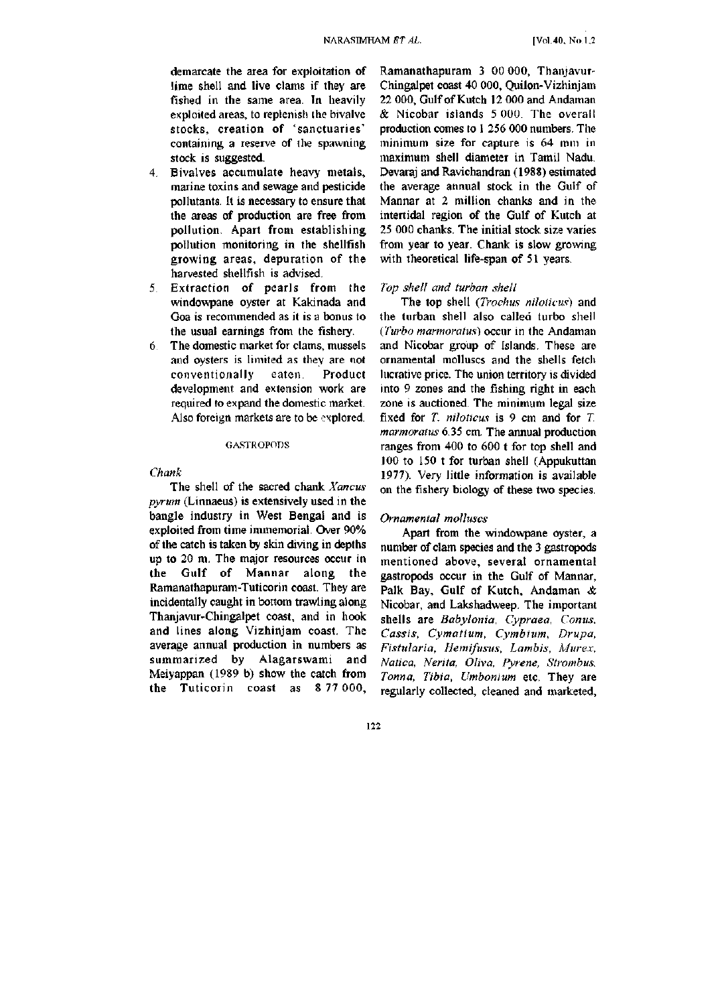demarcate the area for exploitation of lime shell and live clams if they are fished in the same area. In heavily exploited areas, to replenish the bivalve stocks, creation of 'sanctuaries' containing a reserve of the spawning stock is suggested.

- 4. Bivalves accumulate heavy metals, marine toxins and sewage and pesticide pollutants. It is necessary to ensure that the areas of production are free from pollution. Apart from establishing pollution monitoring in the shellfish growing areas, depuration of the harvested shellfish is advised.
- 5. Extraction of pearls from the windowpane oyster at Kakinada and Goa is recommended as it is a bonus to the usual earnings from the fishery.
- 6 The domestic market for clams, mussels and oysters is limited as they are not conventionally eaten. Product development and extension work are required to expand the domestic market. Also foreign markets are to be explored.

#### GASTROPODS

#### *Chank*

The shell of the sacred chank *Xancus pyrum* (Linnaeus) is extensively used in the bangle industry in West Bengal and is exploited from time immemorial. Over 90% of the catch is taken by skin diving in depths up to 20 m. The major resources occur in the Gulf of Mannar along the Ramanathapuram-Tuticorin coast. They are incidentally caught in bottom trawling along Thanjavur-Chingalpet coast, and in hook and lines along Vizhinjam coast. The average annual production in numbers as summarized by Alagarswami and Meiyappan (1989 b) show the catch from the Tuticorin coast as 8 77 000,

Ramanathapuram 3 00 000, Thanjavur-Chingalpet coast 40 000, Quilon-Vizhinjam 22 000, Gulf of Kutch 12 000 and Andaman & Nicobar islands 5 000. The overall production comes to 1 256 000 numbers. The minimum size for capture is 64 mm in maximum shell diameter in Tamil Nadu. Devaraj and Ravichandran (1988) estimated the average annual stock in the Gulf of Mannar at 2 million chanks and in the intertidal region of the Gulf of Kutch at 25 000 chanks. The initial stock size varies from year to year. Chank is slow growing with theoretical life-span of 51 years.

## *Top shell and turban shell*

The top shell *(Trochus niloticus)* and the turban shell also called turbo shell *{Turbo marmoratus)* occur in the Andaman and Nicobar group of Islands. These are ornamental molluscs and the shells fetch lucrative price. The union territory is divided into 9 zones and the fishing right in each zone is auctioned. The minimum legal size fixed for *T. niloticus* is 9 cm and for *T. marmoratus* 6.35 cm. The annual production ranges from 400 to 600 t for top shell and 100 to 150 t for turban shell (Appukuttan 1977). Very little information is available on the fishery biology of these two species.

## *Ornamental molluscs*

Apart from the windowpane oyster, a number of clam species and the 3 gastropods mentioned above, several ornamental gastropods occur in the Gulf of Mannar, Palk Bay, Gulf of Kutch, Andaman *8c*  Nicobar, and Lakshadweep. The important shells are *Babylonia, Cypraea, Conus, Cassis, Cymatium, Cymbium, Drupa, Fistularia, Hemifusus, Lambis, Murex, Natica, Nerita, Oliva, Pyrene, Strombus, Tonna, Tibia, Umbonium* etc. They are regularly collected, cleaned and marketed.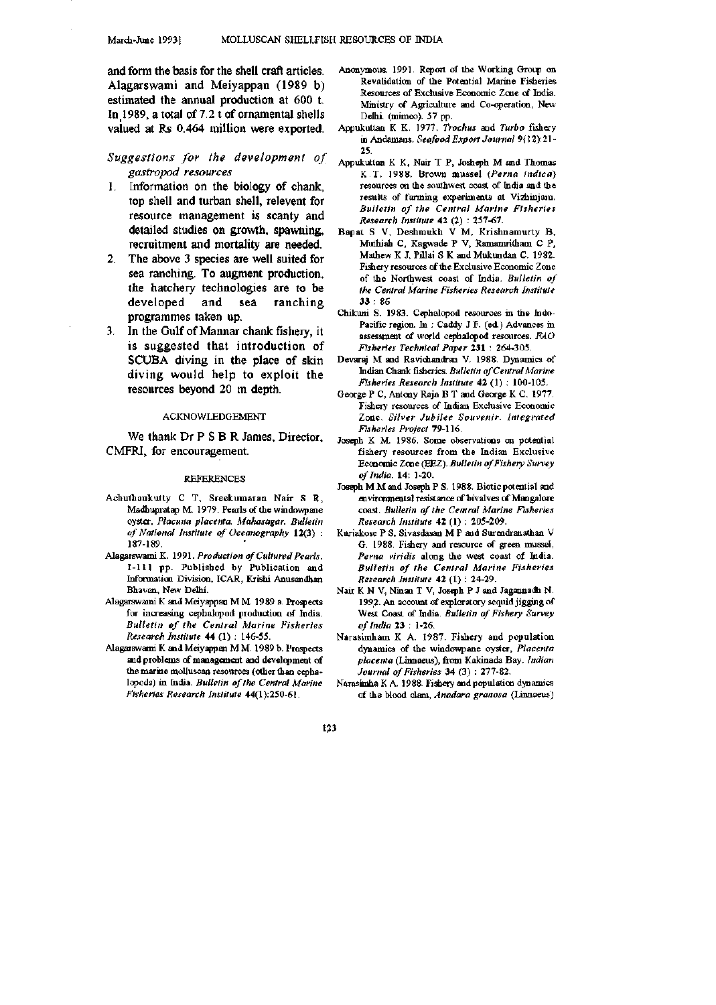and form the basis for the shell craft articles. Alagarswami and Meiyappan (1989 b) estimated the annual production at 600 t. In 1989, a total of 7.2 t of ornamental shells valued at Rs 0.464 million were exported.

# *Suggestions for the development of gastropod resources*

- 1. Information on the biology of chank, top shell and turban shell, relevent for resource management is scanty and detailed studies on growth, spawning, recruitment and mortality are needed.
- 2. The above 3 species are well suited for sea ranching. To augment production, the hatchery technologies are to be developed and sea ranching programmes taken up.
- 3. In the Gulf of Mannar chank fishery, it is suggested that introduction of SCUBA diving in the place of skin diving would help to exploit the resources beyond 20 m depth.

#### ACKNOWLEDGEMENT

We thank Dr P S B R James, Director, CMFRI, for encouragement.

#### REFERENCES

- Achuthankutty C T, Sreekumaran Nair S R, Madhupratap M. 1979. Pearls of the windowpane oyster, *Placuna placenta. Mahasagar. Bulletin of Motional Institute of Oceanography* 12(3) : 187-189.
- Alagarswami K. 1991. *Production of Cultured Pearls.*  1-111 pp. Published by Publication and Informatioa Division, ICAR, Krishi Anusandhan Bhavan, New Delhi.
- Alagarswami K and Meiyappan MM 1989 a. Prospects for increasing oephalopod production of India. *Bulletin of the Central Marine Fisheries Research Institute* 44 (1) : 146-55.
- Alagarswami K and Meiy^pan M M. 1989 b. Prospects and problems of management and development of the marine molluscan resources (other than cephalopods) in India. *Bulletin of the Central Marine Fisheries Research Institute* 44(1):250-61.
- Anonymous. 1991. Report of the Working Group on Revalidation of the Potential Marine Fisheries Resources of Exclusive Economic Zone of India. Ministry of Agriculture and Co-operation, New Delhi, (mjmeo). 57 pp.
- Appukuttan K K. 1977. *Trochus* and *Turbo* fishery in Andamans. Seafood Export Journal 9(12):21-25.
- Appukuttan K K, Nair T P, Josheph M and Thomas K T. 1988. Brown mussel *(Perna indica)*  resources on the southwest coast of India and the results of farming experiments at Vizhinjam. *Bulletin of the Central Marine Fisheries Research Institute* 42 (2) : 257-67.
- Bapat S V, Deshmukh V M, Krishnamurty B, Muthiah C, Kagwade P V, Ramamritham C P, Mathew K J, PUlai S K and Mukundan C. 1982. Fishery resources of the Exclusive Economic Zone of the Northwest coast of India. *Bulletin of the Central Marine Fisheries Research Institute*  33 : 86
- Chikuni S. 1983. Cephalopod resources in the Indo-Pacific region. In : Caddy J F. (ed.) Advances in assessment of world cephalopod resources. *FAO Fisheries Technical Paper* 231 : 264-305.
- Devaraj M and Ravichandrau V. 1988. Dynamics of Indian Chank fisheries. *Bulletin of Central Marine Fisheries Research Institute* 42 (1) : 100-105.
- George P C, Antony Raja B T and George K C. 1977. Fishery resources of Indian Exclusive Economic Zone. *Silver Jubilee Souvenir. Integrated Fisheries Project* 79-116.
- Joseph K M. 1986. Some observations on potential fishery resources from the Indian Exclusive Economic Zone (EEZ). *Bulletin of Fishery Survey of India.* 14: 1-20.
- Joseph M M and Joseph PS. 1988. Biotic potential and environmaital resistance of bivalves of Mangalore coast. *Bulletin of the Central Marine Fisheries Research Institute* 42 (1) : 205-209.
- Kuriakose P S, Sivasdasan M P and Surendranathan V G. 1988. Fishery and resource of green mussel, *Perna viridis* along the west coast of India. *Bulletin of the Central Marine Fisheries Research Institute* 42 (1) : 24-29.
- Nair K N V, Ninan T V, Joseph P J and Jagannadh N. 1992. An account of exploratory sequid jigging of West Coast of India. *Bulletin of Fishery Survey of India* 23 : 1-26.
- Narasimham K A. 1987. Fishery and population dynamics of the windowpane oyster, *Placenta placenta* (Linnaeus), from Kakinada Bay. *Indian Journal of Fisheries* 34 (3) : 277-82.
- Narasimha K A. 1988. Fishery and population dyaamics of the blood clam, *Anadara granosa* (Linnaeus)